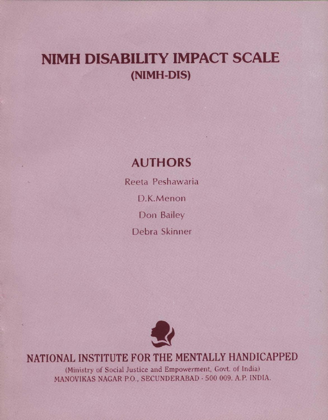# NIMH DISABILITY IMPACT SCALE (NIMH-DIS)

### AUTHORS

Reeta Peshawaria D. K. Menon Don Bailey Debra Skinner



NATIONAL INSTITUTE FOR THE MENTALLY HANDICAPPED

(Ministry of Social Justice and Empowerment, Govt. of India) MANOVIKAS NAGAR P.O., SECUNDERABAD - 500 009. A.P. INDIA.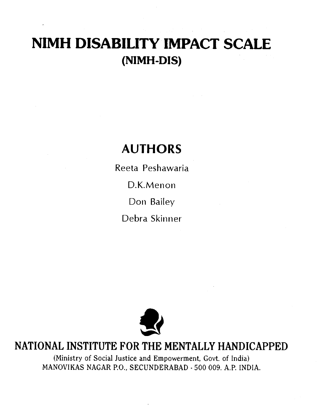# NIMH DISABILITY IMPACT SCALE (NIMH-DIS)

## AUTHORS

Reeta Peshawaria D.K.Menon Don Bailey Debra Skinner



### NATIONAL INSTITUTE FOR THE MENTALLY HANDICAPPED

(Ministry of Social Justice and Empowerment, Govt. of India) MANOVIKAS NAGAR P.O., SECUNDERABAD .500 009. A.P. INDIA.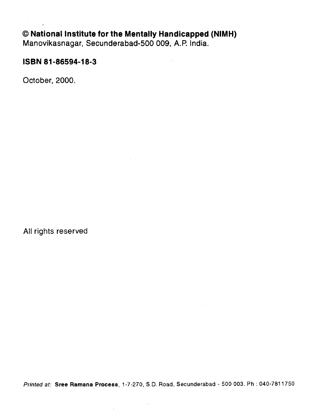#### National Institute for the Mentally Handicapped (NIMH)

Manovikasnagar, Secunderabad-500 009, A.R India.

#### ISBN 81-86594-18-3

October, 2000.

#### All rights reserved

Printed at: Sree Ramana Process, 1-7-270, S.D. Road, Secunderabad - 500 003. Ph : 040-7811750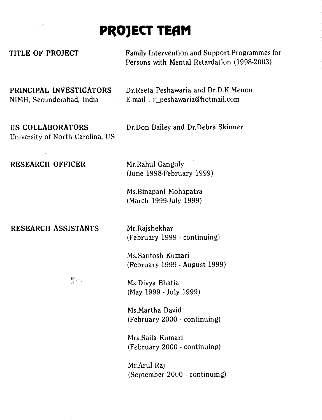## PROJECT TEAM

TITLE OF PROJECT Family Intervention and Support Programmes for Persons with Mental Retardation (1998-2003)

PRINCIPAL INVESTIGATORS Dr.Reeta Peshawaria and Dr.D.K.Menon NIMH, Secunderabad, India E-mail : r\_peshawaria@hotmail.com

University of North Carolina, US

US COLLABORATORS Dr.Don Bailey and Dr.Debra Skinner

RESEARCH OFFICER Mr.Rahul Ganguly

(June 1998-February 1999)

Ms.Binapani Mohapatra (March 1999-July 1999)

RESEARCH ASSISTANTS Mr. Rajshekhar

(February 1999 - continuing)

Ms.Santosh Kumari (February 1999 - August 1999)

Ms.Divya Bhatia (May 1999 - July 1999)

Ms.Martha David (February 2000 - continuing)

Mrs.Saila Kumari (February 2000 - continuing)

Mr.Arul Raj (September 2000 - continuing)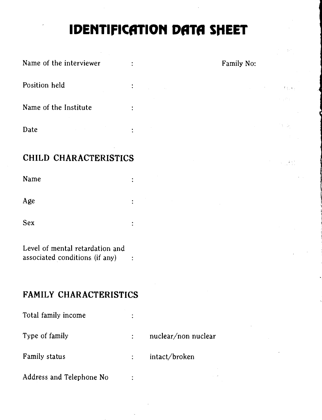# IDENTIFICATION DATA SHEET

| Name of the interviewer | ٠              | Family No: |
|-------------------------|----------------|------------|
| Position held           | $\ddot{\cdot}$ | 学习设施       |
| Name of the Institute   | $\bullet$      |            |
| Date                    | $\bullet$      | t Ge       |

#### CHILD CHARACTERISTICS

Name  $\ddot{\cdot}$ Age  $\ddot{\cdot}$ Sex  $\ddot{\cdot}$ 

Level of mental retardation and associated conditions (if any)

#### FAMILY CHARACTERISTICS

| Total family income      | ٠ |                     |
|--------------------------|---|---------------------|
| Type of family           |   | nuclear/non nuclear |
| Family status            |   | intact/broken       |
| Address and Telephone No |   |                     |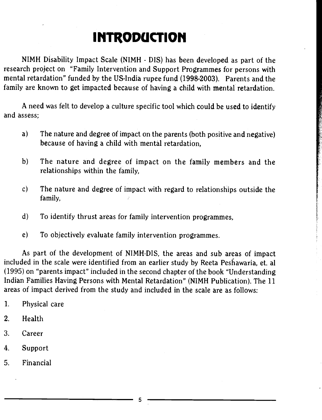## **INTRODUCTION**

NIMH Disability Impact Scale (NIMH - DIS) has been developed as part of the research project on "Family Intervention and Support Programmes for persons with mental retardation" funded by the US-India rupee fund (1998-2003). Parents and the family are known to get impacted because of having a child with mental retardation.

A need was felt to develop a culture specific tool which could be used to identify and assess;

- a) The nature and degree of impact on the parents (both positive and negative) because of having a child with mental retardation,
- b) The nature and degree of impact on the family members and the relationships within the family,
- c) The nature and degree of impact with regard to relationships outside the family,
- d) To identify thrust areas for family intervention programmes,
- e) To objectively evaluate family intervention programmes.

As part of the development of NIMH-DIS, the areas and sub areas of impact included in the scale were identified from an earlier study by Reeta Peshawaria, et. al (1995) on "parents impact" included in the second chapter of the book "Understanding Indian Families Having Persons with Mental Retardation" (NIMH Publication). The 11 areas of impact derived from the study and included in the scale are as follows:

- 1. Physical care
- 2. Health
- 3. Career
- 4. Support
- 5. Financial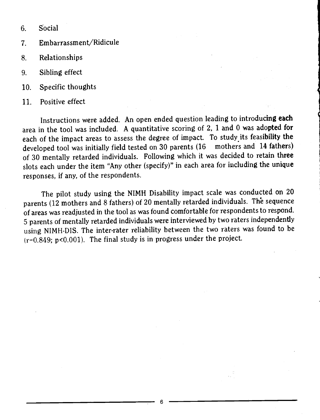6. Social

- 7. Embarrassment/Ridicule
- 8. Relationships
- 9. Sibling effect
- 10. Specific thoughts
- 11. Positive effect

Instructions were added. An open ended question leading to introducing each area in the tool was included. A quantitative scoring of  $2$ ,  $1$  and  $0$  was adopted for each of the impact areas to assess the degree of impact. To study its feasibility the developed tool was initially field tested on 30 parents (16 mothers and 14 fathers) developed tool was initially field tested on 30 parents (16 of 30 mentally retarded individuals. Following which it was decided to retain three slots each under the item "Any other (specify)" in each area for including the unique responses, if any, of the respondents.

The pilot study using the NIMH Disability impact scale was conducted on 20 parents (12 mothers and 8 fathers) of 20 mentally retarded individuals. The sequence of areas was readjusted in the tool as was found comfortable for respondents to respond. 5 parents of mentally retarded individuals were interviewed by two raters independently using NIMH-DIS. The inter-rater reliability between the two raters was found to be  $(r=0.849; p<0.001)$ . The final study is in progress under the project.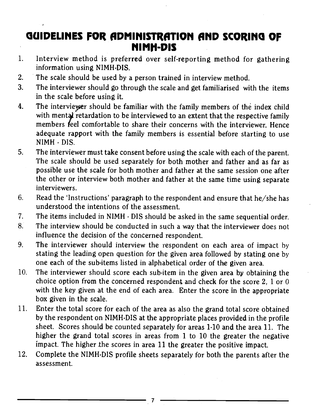### GUIDELINES FOR ADMINISTRATION AND SCORING OF **NIMH-DIS**

- 1. Interview method is preferred over self-reporting method for gathering information using NIMH-DIS.
- 2. The scale should be used by a person trained in interview method.
- 3. The interviewer should go through the scale and get familiarised with the items in the scale before using it.
- 4. The interviewer should be familiar with the family members of the index child with mental retardation to be interviewed to an extent that the respective family members feel comfortable to share their concerns with the interviewer. Hence adequate rapport with the family members is essential before starting to use NIMH - DIS.
- 5. The interviewer must take consent before using the scale with each of the parent. The scale should be used separately for both mother and father and as far as possible use the scale for both mother and father at the same session one after the other or interview both mother and father at the same time using separate interviewers.
- 6. Read the 'Instructions' paragraph to the respondent and ensure that he/she has understood the intentions of the assessment.
- 7. The items included in NIMH DIS should be asked in the same sequential order.
- 8. The interview should be conducted in such a way that the interviewer does not influence the decision of the concerned respondent.
- 9. The interviewer should interview the respondent on each area of impact by stating the leading open question for the given area followed by stating one by one each of the sub-items listed in alphabetical order of the given area.
- 10. The interviewer should score each sub-item in the given area by obtaining the choice option from the concerned respondent and check for the score 2, 1 or 0 with the key given at the end of each area. Enter the score in the appropriate box given in the scale.
- 11. Enter the total score for each of the area as also the grand total score obtained by the respondent on NIMH-DIS at the appropriate places provided in the profile sheet. Scores should be counted separately for areas 1-10 and the area 11. The higher the grand total scores in areas from 1 to 10 the greater the negative impact. The higher the scores in area 11 the greater the positive impact.
- 12. Complete the NIMH-DIS profile sheets separately for both the parents after the assessment.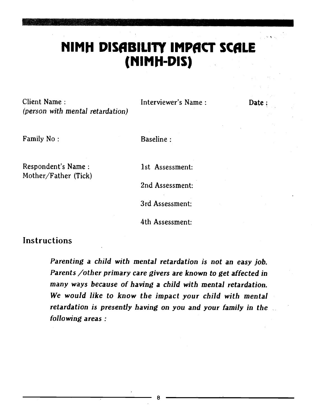### MIMII DISABILITY IMPACT SCALE (MIMPI-DIS)

Client Name : Interviewer's Name : Date (person with mental retardation)

Family No: Baseline:

Respondent's Name : 1st Assessment: Mother/Father (Tick)

2nd Assessment: 3rd Assessment:

4th Assessment:

#### Instructions

Parenting a child with mental retardation is not an easy job. Parents /other primary care givers are known to get affected in many ways because of having a child with mental retardation. We would like to know the impact your child with mental retardation is presently having on you and your family in the following areas: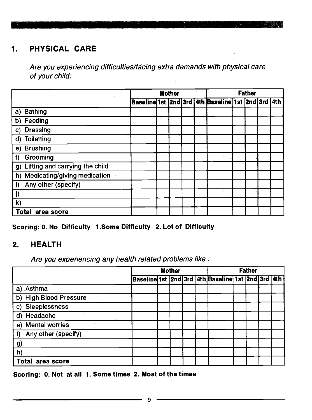#### 1. PHYSICAL CARE

Are you experiencing difficulties/facing extra demands with physical care of your child:

|                                                |  | <b>Mother</b> |  | <b>Father</b>                                     |  |  |  |  |  |  |
|------------------------------------------------|--|---------------|--|---------------------------------------------------|--|--|--|--|--|--|
|                                                |  |               |  | Baseline 1st 2nd 3rd 4th Baseline 1st 2nd 3rd 4th |  |  |  |  |  |  |
| a) Bathing                                     |  |               |  |                                                   |  |  |  |  |  |  |
| b) Feeding                                     |  |               |  |                                                   |  |  |  |  |  |  |
| <b>Dressing</b><br>C)                          |  |               |  |                                                   |  |  |  |  |  |  |
| d) Toiletting                                  |  |               |  |                                                   |  |  |  |  |  |  |
| e) Brushing                                    |  |               |  |                                                   |  |  |  |  |  |  |
| Grooming<br>f)                                 |  |               |  |                                                   |  |  |  |  |  |  |
| Lifting and carrying the child<br>$\mathbf{g}$ |  |               |  |                                                   |  |  |  |  |  |  |
| h) Medicating/giving medication                |  |               |  |                                                   |  |  |  |  |  |  |
| Any other (specify)                            |  |               |  |                                                   |  |  |  |  |  |  |
|                                                |  |               |  |                                                   |  |  |  |  |  |  |
| k)                                             |  |               |  |                                                   |  |  |  |  |  |  |
| Total area score                               |  |               |  |                                                   |  |  |  |  |  |  |

#### Scoring: 0. No Difficulty 1.Some Difficulty 2. Lot of Difficulty

#### 2. HEALTH

Are you experiencing any health related problems like:

|                           |                                                   | <b>Mother</b> |  | <b>Father</b> |  |  |  |  |  |  |
|---------------------------|---------------------------------------------------|---------------|--|---------------|--|--|--|--|--|--|
|                           | Baseline 1st 2nd 3rd 4th Baseline 1st 2nd 3rd 4th |               |  |               |  |  |  |  |  |  |
| a) Asthma                 |                                                   |               |  |               |  |  |  |  |  |  |
| b) High Blood Pressure    |                                                   |               |  |               |  |  |  |  |  |  |
| c) Sleeplessness          |                                                   |               |  |               |  |  |  |  |  |  |
| d) Headache               |                                                   |               |  |               |  |  |  |  |  |  |
| e) Mental worries         |                                                   |               |  |               |  |  |  |  |  |  |
| Any other (specify)<br>f) |                                                   |               |  |               |  |  |  |  |  |  |
| g)                        |                                                   |               |  |               |  |  |  |  |  |  |
| h)                        |                                                   |               |  |               |  |  |  |  |  |  |
| Total<br>area score       |                                                   |               |  |               |  |  |  |  |  |  |

Scoring: 0. Not at all 1. Some times 2. Most of the times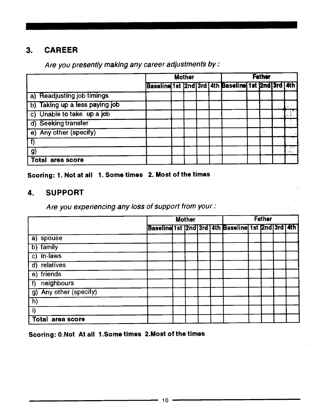#### 3. CAREER

|                                | <b>Mother</b> |  |  |  |                                                   |  | <b>Father</b> |  |                  |  |  |  |
|--------------------------------|---------------|--|--|--|---------------------------------------------------|--|---------------|--|------------------|--|--|--|
|                                |               |  |  |  | Baseline 1st 2nd 3rd 4th Baseline 1st 2nd 3rd 4th |  |               |  |                  |  |  |  |
| a) Readjusting job timings     |               |  |  |  |                                                   |  |               |  |                  |  |  |  |
| b) Taking up a less paying job |               |  |  |  |                                                   |  |               |  | <b>Secondary</b> |  |  |  |
| c) Unable to take up a job     |               |  |  |  |                                                   |  |               |  |                  |  |  |  |
| d) Seeking transfer            |               |  |  |  |                                                   |  |               |  |                  |  |  |  |
| e) Any other (specify)         |               |  |  |  |                                                   |  |               |  |                  |  |  |  |
|                                |               |  |  |  |                                                   |  |               |  |                  |  |  |  |
| g)                             |               |  |  |  |                                                   |  |               |  | <b>House</b>     |  |  |  |
| <b>Total</b><br>area score     |               |  |  |  |                                                   |  |               |  |                  |  |  |  |

Are you presently making any career adjustments by :

Scoring: 1. Not at all 1. Some times 2. Most of the times

#### 4. SUPPORT

Are you experiencing any loss of support from your:

|                          |  | <b>Mother</b> |  | <b>Father</b> |                                                          |  |  |  |  |  |
|--------------------------|--|---------------|--|---------------|----------------------------------------------------------|--|--|--|--|--|
|                          |  |               |  |               | Baseline 1st  2nd 3rd   4th Baseline  1st  2nd 3rd   4th |  |  |  |  |  |
| a) spouse                |  |               |  |               |                                                          |  |  |  |  |  |
| b) family                |  |               |  |               |                                                          |  |  |  |  |  |
| $\overline{c}$ ) in-laws |  |               |  |               |                                                          |  |  |  |  |  |
| d) relatives             |  |               |  |               |                                                          |  |  |  |  |  |
| e) friends               |  |               |  |               |                                                          |  |  |  |  |  |
| neighbours<br>f          |  |               |  |               |                                                          |  |  |  |  |  |
| g) Any other (specify)   |  |               |  |               |                                                          |  |  |  |  |  |
| $\overline{h}$           |  |               |  |               |                                                          |  |  |  |  |  |
|                          |  |               |  |               |                                                          |  |  |  |  |  |
| <b>Total area score</b>  |  |               |  |               |                                                          |  |  |  |  |  |

Scoring: O.Not At all 1 .Some times 2.Most of the times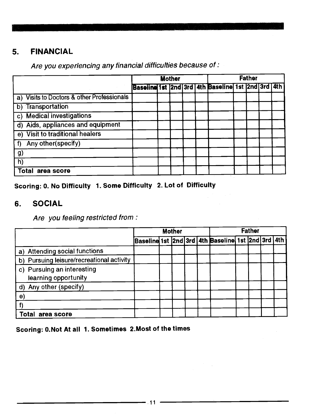#### 5. FINANCIAL

|                                            |  | <b>Mother</b> |  | <b>Father</b>                                     |  |  |  |  |  |  |  |  |
|--------------------------------------------|--|---------------|--|---------------------------------------------------|--|--|--|--|--|--|--|--|
|                                            |  |               |  | Baseline 1st 2nd 3rd 4th Baseline 1st 2nd 3rd 4th |  |  |  |  |  |  |  |  |
| a) Visits to Doctors & other Professionals |  |               |  |                                                   |  |  |  |  |  |  |  |  |
| b) Transportation                          |  |               |  |                                                   |  |  |  |  |  |  |  |  |
| c) Medical investigations                  |  |               |  |                                                   |  |  |  |  |  |  |  |  |
| d) Aids, appliances and equipment          |  |               |  |                                                   |  |  |  |  |  |  |  |  |
| e) Visit to traditional healers            |  |               |  |                                                   |  |  |  |  |  |  |  |  |
| Any other(specify)                         |  |               |  |                                                   |  |  |  |  |  |  |  |  |
| $\mathbf{g}$                               |  |               |  |                                                   |  |  |  |  |  |  |  |  |
| h)                                         |  |               |  |                                                   |  |  |  |  |  |  |  |  |
| area score<br>Total                        |  |               |  |                                                   |  |  |  |  |  |  |  |  |

Are you experiencing any financial difficulties because of:

Scoring: 0. No Difficulty 1. Some Difficulty 2. Lot of Difficulty

#### 6. SOCIAL

Are you feeling restricted from:

|                                                    |  | <b>Mother</b> |  | <b>Father</b> |                                                   |  |  |  |  |  |
|----------------------------------------------------|--|---------------|--|---------------|---------------------------------------------------|--|--|--|--|--|
|                                                    |  |               |  |               | Baseline 1st 2nd 3rd 4th Baseline 1st 2nd 3rd 4th |  |  |  |  |  |
| a) Attending social functions                      |  |               |  |               |                                                   |  |  |  |  |  |
| b) Pursuing leisure/recreational activity          |  |               |  |               |                                                   |  |  |  |  |  |
| c) Pursuing an interesting<br>learning opportunity |  |               |  |               |                                                   |  |  |  |  |  |
| d) Any other (specify)                             |  |               |  |               |                                                   |  |  |  |  |  |
| $\mathbf{e}$                                       |  |               |  |               |                                                   |  |  |  |  |  |
|                                                    |  |               |  |               |                                                   |  |  |  |  |  |
| Total area score                                   |  |               |  |               |                                                   |  |  |  |  |  |

Scoring: 0.Not At all 1. Sometimes 2.Most of the times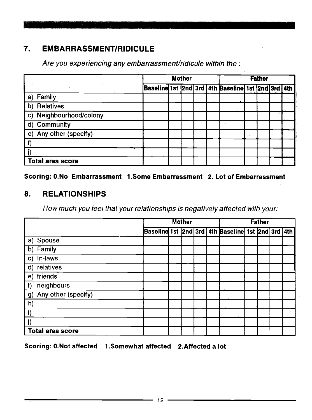#### 7. EMBARRASSMENT/RIDICULE

Are you experiencing any embarrassment/ridicule within the:

| The County              |                                                   | <b>Mother</b> |  | <b>Father</b> |  |  |  |  |  |  |
|-------------------------|---------------------------------------------------|---------------|--|---------------|--|--|--|--|--|--|
|                         | Baseline 1st 2nd 3rd 4th Baseline 1st 2nd 3rd 4th |               |  |               |  |  |  |  |  |  |
| a) Family               |                                                   |               |  |               |  |  |  |  |  |  |
| b) Relatives            |                                                   |               |  |               |  |  |  |  |  |  |
| c) Neighbourhood/colony |                                                   |               |  |               |  |  |  |  |  |  |
| d) Community            |                                                   |               |  | $\sim$        |  |  |  |  |  |  |
| e) Any other (specify)  |                                                   |               |  |               |  |  |  |  |  |  |
|                         |                                                   |               |  |               |  |  |  |  |  |  |
| j)                      |                                                   |               |  |               |  |  |  |  |  |  |
| Total area score        |                                                   |               |  |               |  |  |  |  |  |  |

Scoring: O.No Embarrassment 1 .Some Embarrassment 2. Lot of Embarrassment

#### 8. RELATIONSHIPS

How much you feel that your relationships is negatively affected with your:

|                        |  | <b>Mother</b> | <b>Father</b> |                                                   |  |  |  |  |  |
|------------------------|--|---------------|---------------|---------------------------------------------------|--|--|--|--|--|
|                        |  |               |               | Baseline 1st 2nd 3rd 4th Baseline 1st 2nd 3rd 4th |  |  |  |  |  |
| a) Spouse              |  |               |               |                                                   |  |  |  |  |  |
| b) Family              |  |               |               |                                                   |  |  |  |  |  |
| c) In-laws             |  |               |               |                                                   |  |  |  |  |  |
| d) relatives           |  |               |               |                                                   |  |  |  |  |  |
| e) friends             |  |               |               |                                                   |  |  |  |  |  |
| neighbours<br>f        |  |               |               |                                                   |  |  |  |  |  |
| g) Any other (specify) |  |               |               |                                                   |  |  |  |  |  |
| h)                     |  |               |               |                                                   |  |  |  |  |  |
| i)                     |  |               |               |                                                   |  |  |  |  |  |
| j)                     |  |               |               |                                                   |  |  |  |  |  |
| Total area score       |  |               |               |                                                   |  |  |  |  |  |

Scoring: 0.Not affected 1.Somewhat affected 2.Affected a lot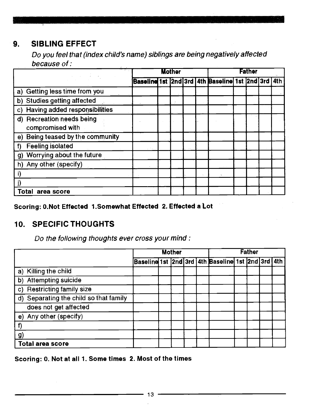#### 9. SIBLING EFFECT

Do you feel that (md ex child's name) siblings are being negatively affected because of:

|                                               | <b>Mother</b> |  |  |  | Father                                            |  |  |  |  |  |  |
|-----------------------------------------------|---------------|--|--|--|---------------------------------------------------|--|--|--|--|--|--|
|                                               |               |  |  |  | Baseline 1st 2nd 3rd 4th Baseline 1st 2nd 3rd 4th |  |  |  |  |  |  |
| a) Getting less time from you                 |               |  |  |  |                                                   |  |  |  |  |  |  |
| b) Studies getting affected                   |               |  |  |  |                                                   |  |  |  |  |  |  |
| c) Having added responsibilities              |               |  |  |  |                                                   |  |  |  |  |  |  |
| d) Recreation needs being<br>compromised with |               |  |  |  |                                                   |  |  |  |  |  |  |
| e) Being teased by the community              |               |  |  |  |                                                   |  |  |  |  |  |  |
| <b>Feeling isolated</b>                       |               |  |  |  |                                                   |  |  |  |  |  |  |
| Worrying about the future<br>g)               |               |  |  |  |                                                   |  |  |  |  |  |  |
| Any other (specify)<br>h)                     |               |  |  |  |                                                   |  |  |  |  |  |  |
|                                               |               |  |  |  |                                                   |  |  |  |  |  |  |
|                                               |               |  |  |  |                                                   |  |  |  |  |  |  |
| area score<br>Total                           |               |  |  |  |                                                   |  |  |  |  |  |  |

Scoring: O.Not Effected 1.Somewhat Effected 2. Effected a Lot

#### 10. SPECIFICTHOUGHTS

Do the following thoughts ever cross your mind:

|                                        |  | <b>Mother</b> |  | <b>Father</b> |                                                   |  |  |  |  |  |
|----------------------------------------|--|---------------|--|---------------|---------------------------------------------------|--|--|--|--|--|
|                                        |  |               |  |               | Baseline 1st 2nd 3rd 4th Baseline 1st 2nd 3rd 4th |  |  |  |  |  |
| a) Killing the child                   |  |               |  |               |                                                   |  |  |  |  |  |
| b) Attempting suicide                  |  |               |  |               |                                                   |  |  |  |  |  |
| <b>Restricting family size</b><br>C)   |  |               |  |               |                                                   |  |  |  |  |  |
| d) Separating the child so that family |  |               |  |               |                                                   |  |  |  |  |  |
| does not get affected                  |  |               |  |               |                                                   |  |  |  |  |  |
| e) Any other (specify)                 |  |               |  |               |                                                   |  |  |  |  |  |
|                                        |  |               |  |               |                                                   |  |  |  |  |  |
| <b>g</b> )                             |  |               |  |               |                                                   |  |  |  |  |  |
| <b>Total area score</b>                |  |               |  |               |                                                   |  |  |  |  |  |

Scoring: 0. Not at all 1. Some times 2. Most of the times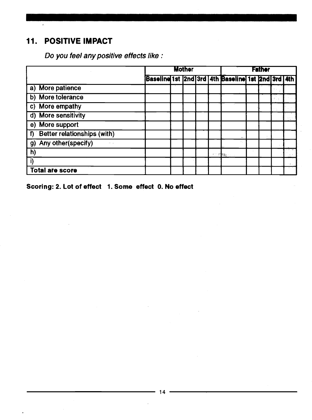#### 11. POSITIVE IMPACT

|                                            |                                                   | <b>Mother</b> |  |  |  |       |  | <b>Father</b> |    |  |  |  |  |
|--------------------------------------------|---------------------------------------------------|---------------|--|--|--|-------|--|---------------|----|--|--|--|--|
|                                            | Baseline 1st 2nd 3rd 4th Baseline 1st 2nd 3rd 4th |               |  |  |  |       |  |               |    |  |  |  |  |
| a) More patience                           |                                                   |               |  |  |  |       |  |               |    |  |  |  |  |
| b) More tolerance                          |                                                   |               |  |  |  |       |  |               | ÷. |  |  |  |  |
| c) More empathy                            |                                                   |               |  |  |  |       |  |               |    |  |  |  |  |
| d) More sensitivity                        |                                                   |               |  |  |  |       |  |               |    |  |  |  |  |
| e) More support                            |                                                   |               |  |  |  |       |  |               |    |  |  |  |  |
| <b>Better relationships (with)</b><br>T)   |                                                   |               |  |  |  |       |  |               |    |  |  |  |  |
| Any other(specify)<br>g)<br><b>College</b> |                                                   |               |  |  |  |       |  |               |    |  |  |  |  |
| h)                                         |                                                   |               |  |  |  | ಿ ಕೆಲ |  |               |    |  |  |  |  |
| $\overline{1}$                             |                                                   |               |  |  |  |       |  |               |    |  |  |  |  |
| <b>Total are score</b>                     |                                                   |               |  |  |  |       |  |               |    |  |  |  |  |

Scoring: 2. Lot of effect 1. Some effect 0. No effect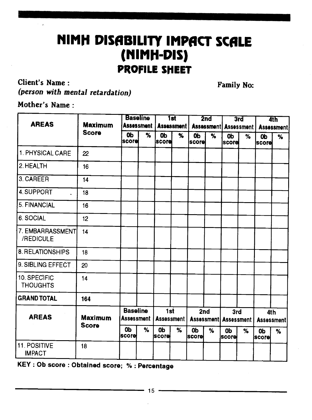### **NIMH DISABILITY IMPACT SCALE** (NIMH-DIS) PROFILE SHEET

Client's Name:

Family No

(person with mental retardation)

| <b>AREAS</b>                    | <b>Maximum</b> |                                          | <b>Baseline</b> |                                          | <b>1st</b> |                                | 2 <sub>nd</sub>     |                                       | 3rd  |                           | 4th |  |
|---------------------------------|----------------|------------------------------------------|-----------------|------------------------------------------|------------|--------------------------------|---------------------|---------------------------------------|------|---------------------------|-----|--|
|                                 | <b>Score</b>   | <b>Assessment</b><br>0 <sub>b</sub><br>% |                 | <b>Assessment</b><br>0 <sub>b</sub><br>% |            | <b>Assessment</b>              |                     | <b>Assessment</b>                     |      | Assessment                |     |  |
|                                 |                | iscorei                                  |                 | lscorel                                  |            | 0 <sub>b</sub><br><b>Score</b> | $\overline{\gamma}$ | 0 <sub>b</sub><br><b>Iscorel</b>      | $\%$ | <b>Ob</b><br><b>Score</b> | %   |  |
| 1. PHYSICAL CARE                | 22             |                                          |                 |                                          |            |                                |                     |                                       |      |                           |     |  |
| 2. HEALTH                       | 16             |                                          |                 |                                          |            |                                |                     |                                       |      |                           |     |  |
| 3. CAREER                       | 14             |                                          |                 |                                          |            |                                |                     |                                       |      |                           |     |  |
| 4. SUPPORT                      | 18             |                                          |                 |                                          |            |                                |                     |                                       |      |                           |     |  |
| 5. FINANCIAL                    | 16             |                                          |                 |                                          |            |                                |                     |                                       |      |                           |     |  |
| 6. SOCIAL                       | 12             |                                          |                 |                                          |            |                                |                     |                                       |      |                           |     |  |
| 7. EMBARRASSMENT<br>/REDICULE   | 14             |                                          |                 |                                          |            |                                |                     |                                       |      |                           |     |  |
| 8. RELATIONSHIPS                | 18             |                                          |                 |                                          |            |                                |                     |                                       |      |                           |     |  |
| 9. SIBLING EFFECT               | 20             |                                          |                 |                                          |            |                                |                     |                                       |      |                           |     |  |
| 10. SPECIFIC<br><b>THOUGHTS</b> | 14             |                                          |                 |                                          |            |                                |                     |                                       |      |                           |     |  |
| GRAND TOTAL                     | 164            |                                          |                 |                                          |            |                                |                     |                                       |      |                           |     |  |
| <b>AREAS</b>                    | <b>Maximum</b> | <b>Baseline</b><br>Assessment            |                 | 1st<br><b>Assessment</b>                 |            | 2nd                            |                     | 3rd<br><b>Assessment   Assessment</b> |      | 4th<br>Assessment         |     |  |
|                                 | <b>Score</b>   | 0b<br> score                             | %               | 0b<br><b>score</b>                       | $\%$       | <b>Ob</b><br> score            | %                   | <b>Ob</b><br> score                   | %    | <b>Ob</b><br> score       | %   |  |
| 11. POSITIVE                    | 18             |                                          |                 |                                          |            |                                |                     |                                       |      |                           |     |  |

KEY : Ob score : Obtained score; % : Percentage